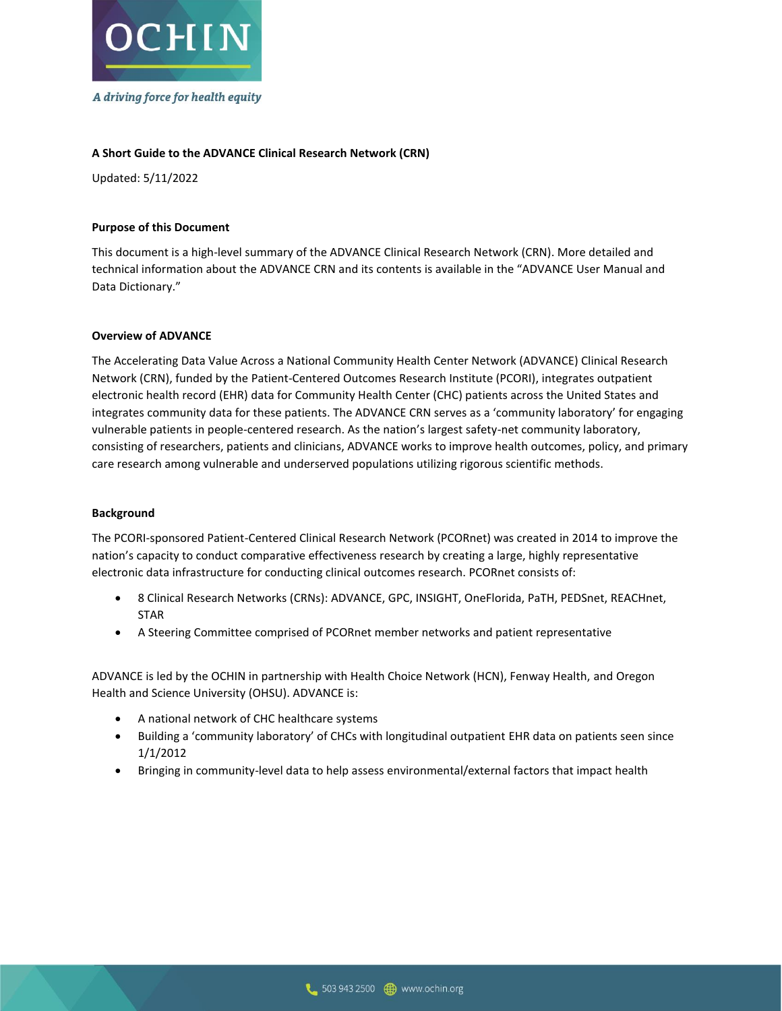

#### **A Short Guide to the ADVANCE Clinical Research Network (CRN)**

Updated: 5/11/2022

#### **Purpose of this Document**

This document is a high-level summary of the ADVANCE Clinical Research Network (CRN). More detailed and technical information about the ADVANCE CRN and its contents is available in the "ADVANCE User Manual and Data Dictionary."

#### **Overview of ADVANCE**

The Accelerating Data Value Across a National Community Health Center Network (ADVANCE) Clinical Research Network (CRN), funded by the Patient-Centered Outcomes Research Institute (PCORI), integrates outpatient electronic health record (EHR) data for Community Health Center (CHC) patients across the United States and integrates community data for these patients. The ADVANCE CRN serves as a 'community laboratory' for engaging vulnerable patients in people-centered research. As the nation's largest safety-net community laboratory, consisting of researchers, patients and clinicians, ADVANCE works to improve health outcomes, policy, and primary care research among vulnerable and underserved populations utilizing rigorous scientific methods.

#### **Background**

The PCORI-sponsored Patient-Centered Clinical Research Network (PCORnet) was created in 2014 to improve the nation's capacity to conduct comparative effectiveness research by creating a large, highly representative electronic data infrastructure for conducting clinical outcomes research. PCORnet consists of:

- 8 Clinical Research Networks (CRNs): ADVANCE, GPC, INSIGHT, OneFlorida, PaTH, PEDSnet, REACHnet, STAR
- A Steering Committee comprised of PCORnet member networks and patient representative

ADVANCE is led by the OCHIN in partnership with Health Choice Network (HCN), Fenway Health, and Oregon Health and Science University (OHSU). ADVANCE is:

- A national network of CHC healthcare systems
- Building a 'community laboratory' of CHCs with longitudinal outpatient EHR data on patients seen since 1/1/2012
- Bringing in community-level data to help assess environmental/external factors that impact health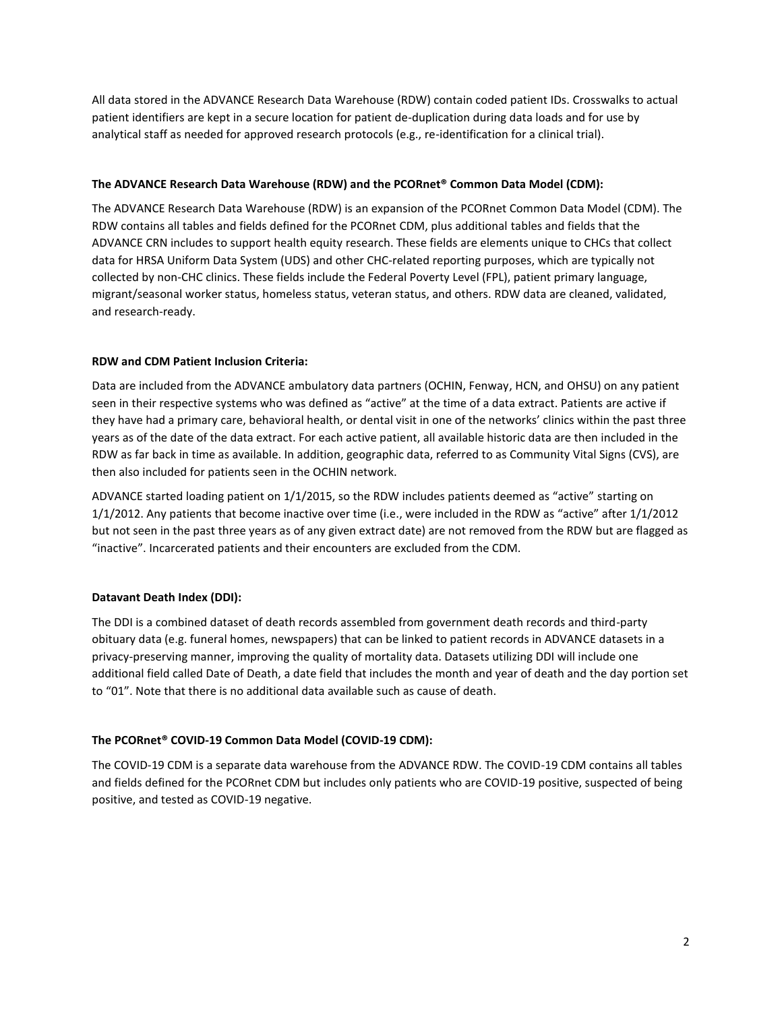All data stored in the ADVANCE Research Data Warehouse (RDW) contain coded patient IDs. Crosswalks to actual patient identifiers are kept in a secure location for patient de-duplication during data loads and for use by analytical staff as needed for approved research protocols (e.g., re-identification for a clinical trial).

## **The ADVANCE Research Data Warehouse (RDW) and the PCORnet® Common Data Model (CDM):**

The ADVANCE Research Data Warehouse (RDW) is an expansion of the PCORnet Common Data Model (CDM). The RDW contains all tables and fields defined for the PCORnet CDM, plus additional tables and fields that the ADVANCE CRN includes to support health equity research. These fields are elements unique to CHCs that collect data for HRSA Uniform Data System (UDS) and other CHC-related reporting purposes, which are typically not collected by non-CHC clinics. These fields include the Federal Poverty Level (FPL), patient primary language, migrant/seasonal worker status, homeless status, veteran status, and others. RDW data are cleaned, validated, and research-ready.

# **RDW and CDM Patient Inclusion Criteria:**

Data are included from the ADVANCE ambulatory data partners (OCHIN, Fenway, HCN, and OHSU) on any patient seen in their respective systems who was defined as "active" at the time of a data extract. Patients are active if they have had a primary care, behavioral health, or dental visit in one of the networks' clinics within the past three years as of the date of the data extract. For each active patient, all available historic data are then included in the RDW as far back in time as available. In addition, geographic data, referred to as Community Vital Signs (CVS), are then also included for patients seen in the OCHIN network.

ADVANCE started loading patient on 1/1/2015, so the RDW includes patients deemed as "active" starting on 1/1/2012. Any patients that become inactive over time (i.e., were included in the RDW as "active" after 1/1/2012 but not seen in the past three years as of any given extract date) are not removed from the RDW but are flagged as "inactive". Incarcerated patients and their encounters are excluded from the CDM.

# **Datavant Death Index (DDI):**

The DDI is a combined dataset of death records assembled from government death records and third-party obituary data (e.g. funeral homes, newspapers) that can be linked to patient records in ADVANCE datasets in a privacy-preserving manner, improving the quality of mortality data. Datasets utilizing DDI will include one additional field called Date of Death, a date field that includes the month and year of death and the day portion set to "01". Note that there is no additional data available such as cause of death.

# **The PCORnet® COVID-19 Common Data Model (COVID-19 CDM):**

The COVID-19 CDM is a separate data warehouse from the ADVANCE RDW. The COVID-19 CDM contains all tables and fields defined for the PCORnet CDM but includes only patients who are COVID-19 positive, suspected of being positive, and tested as COVID-19 negative.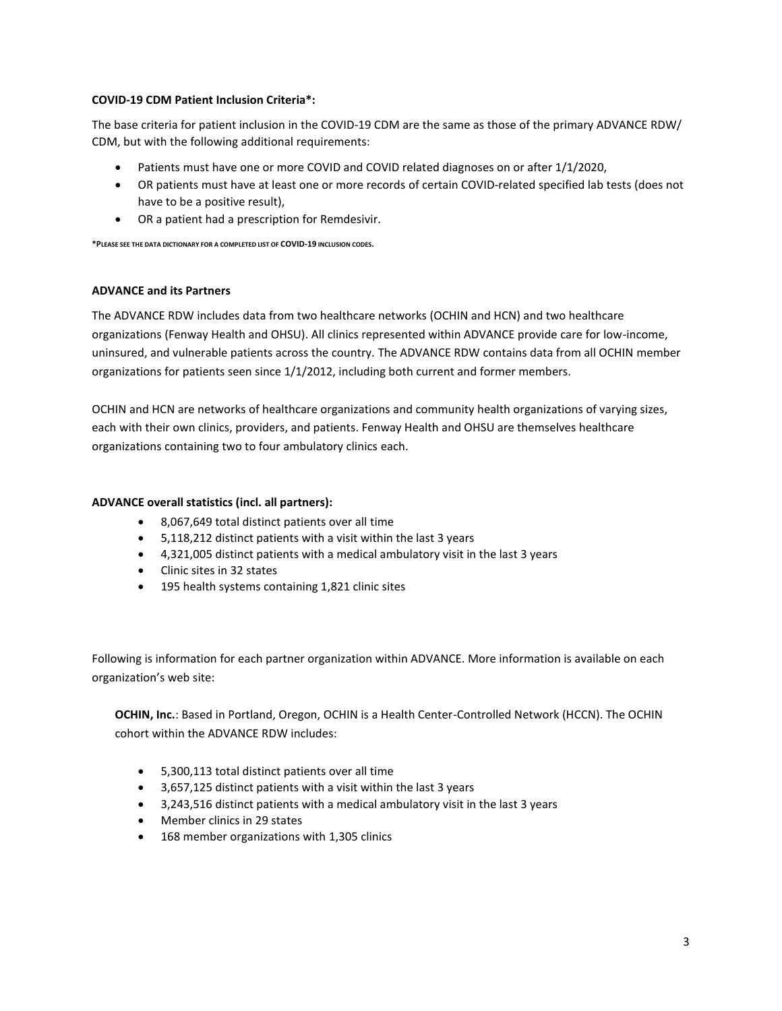#### **COVID-19 CDM Patient Inclusion Criteria\*:**

The base criteria for patient inclusion in the COVID-19 CDM are the same as those of the primary ADVANCE RDW/ CDM, but with the following additional requirements:

- Patients must have one or more COVID and COVID related diagnoses on or after 1/1/2020,
- OR patients must have at least one or more records of certain COVID-related specified lab tests (does not have to be a positive result),
- OR a patient had a prescription for Remdesivir.

**\*PLEASE SEE THE DATA DICTIONARY FOR A COMPLETED LIST OF COVID-19 INCLUSION CODES.**

#### **ADVANCE and its Partners**

The ADVANCE RDW includes data from two healthcare networks (OCHIN and HCN) and two healthcare organizations (Fenway Health and OHSU). All clinics represented within ADVANCE provide care for low-income, uninsured, and vulnerable patients across the country. The ADVANCE RDW contains data from all OCHIN member organizations for patients seen since 1/1/2012, including both current and former members.

OCHIN and HCN are networks of healthcare organizations and community health organizations of varying sizes, each with their own clinics, providers, and patients. Fenway Health and OHSU are themselves healthcare organizations containing two to four ambulatory clinics each.

#### **ADVANCE overall statistics (incl. all partners):**

- 8,067,649 total distinct patients over all time
- 5,118,212 distinct patients with a visit within the last 3 years
- 4,321,005 distinct patients with a medical ambulatory visit in the last 3 years
- Clinic sites in 32 states
- 195 health systems containing 1,821 clinic sites

Following is information for each partner organization within ADVANCE. More information is available on each organization's web site:

**OCHIN, Inc.**: Based in Portland, Oregon, OCHIN is a Health Center-Controlled Network (HCCN). The OCHIN cohort within the ADVANCE RDW includes:

- 5,300,113 total distinct patients over all time
- 3,657,125 distinct patients with a visit within the last 3 years
- 3,243,516 distinct patients with a medical ambulatory visit in the last 3 years
- Member clinics in 29 states
- 168 member organizations with 1,305 clinics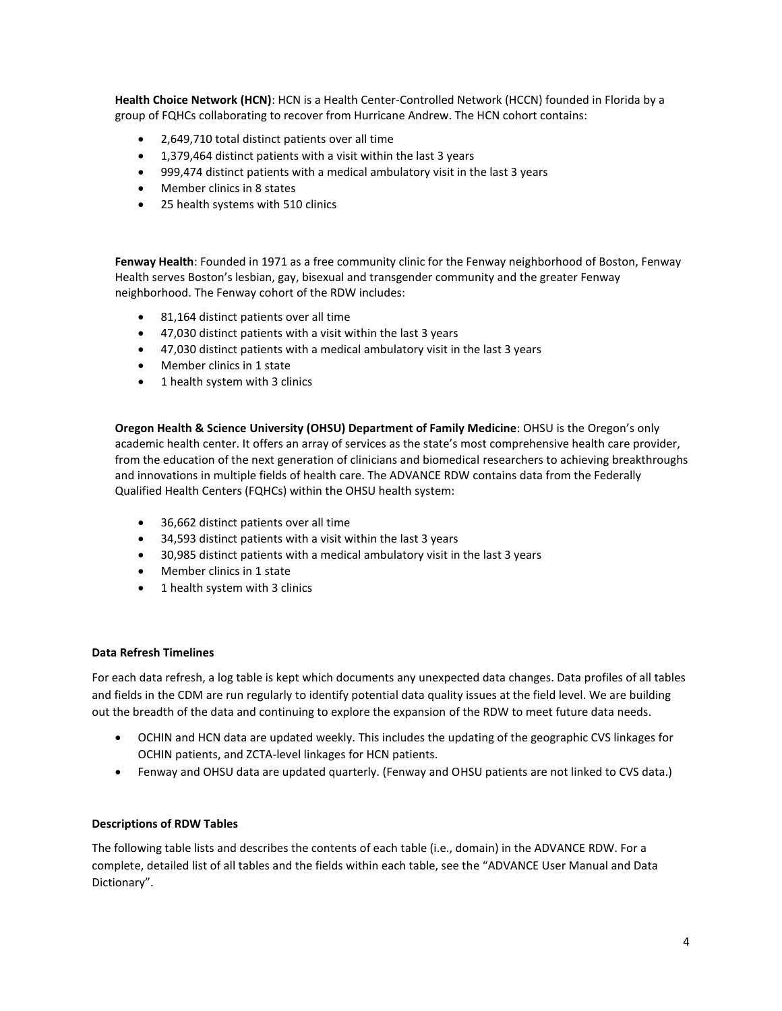**Health Choice Network (HCN)**: HCN is a Health Center-Controlled Network (HCCN) founded in Florida by a group of FQHCs collaborating to recover from Hurricane Andrew. The HCN cohort contains:

- 2,649,710 total distinct patients over all time
- 1,379,464 distinct patients with a visit within the last 3 years
- 999,474 distinct patients with a medical ambulatory visit in the last 3 years
- Member clinics in 8 states
- 25 health systems with 510 clinics

**Fenway Health**: Founded in 1971 as a free community clinic for the Fenway neighborhood of Boston, Fenway Health serves Boston's lesbian, gay, bisexual and transgender community and the greater Fenway neighborhood. The Fenway cohort of the RDW includes:

- 81,164 distinct patients over all time
- 47,030 distinct patients with a visit within the last 3 years
- 47,030 distinct patients with a medical ambulatory visit in the last 3 years
- Member clinics in 1 state
- 1 health system with 3 clinics

**Oregon Health & Science University (OHSU) Department of Family Medicine**: OHSU is the Oregon's only academic health center. It offers an array of services as the state's most comprehensive health care provider, from the education of the next generation of clinicians and biomedical researchers to achieving breakthroughs and innovations in multiple fields of health care. The ADVANCE RDW contains data from the Federally Qualified Health Centers (FQHCs) within the OHSU health system:

- 36,662 distinct patients over all time
- 34,593 distinct patients with a visit within the last 3 years
- 30,985 distinct patients with a medical ambulatory visit in the last 3 years
- Member clinics in 1 state
- 1 health system with 3 clinics

### **Data Refresh Timelines**

For each data refresh, a log table is kept which documents any unexpected data changes. Data profiles of all tables and fields in the CDM are run regularly to identify potential data quality issues at the field level. We are building out the breadth of the data and continuing to explore the expansion of the RDW to meet future data needs.

- OCHIN and HCN data are updated weekly. This includes the updating of the geographic CVS linkages for OCHIN patients, and ZCTA-level linkages for HCN patients.
- Fenway and OHSU data are updated quarterly. (Fenway and OHSU patients are not linked to CVS data.)

### **Descriptions of RDW Tables**

The following table lists and describes the contents of each table (i.e., domain) in the ADVANCE RDW. For a complete, detailed list of all tables and the fields within each table, see the "ADVANCE User Manual and Data Dictionary".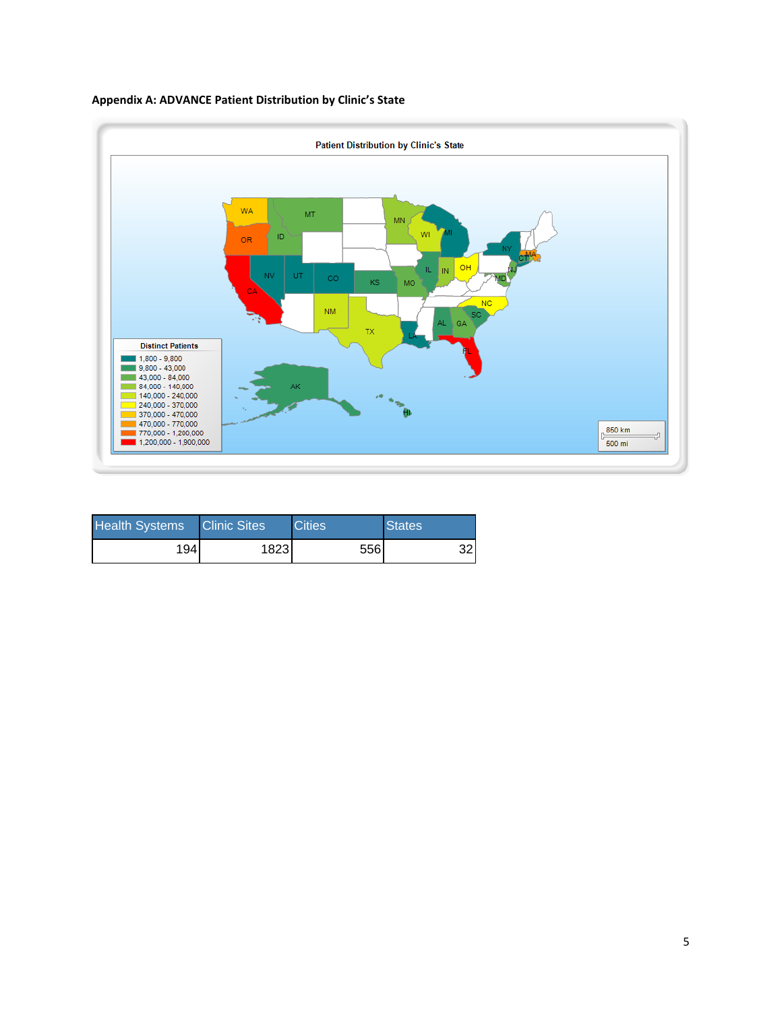



| <b>Health Systems</b> | <b>Clinic Sites</b> | <b>Cities</b> | <b>States</b> |
|-----------------------|---------------------|---------------|---------------|
| 1941                  | 1823                | 556           |               |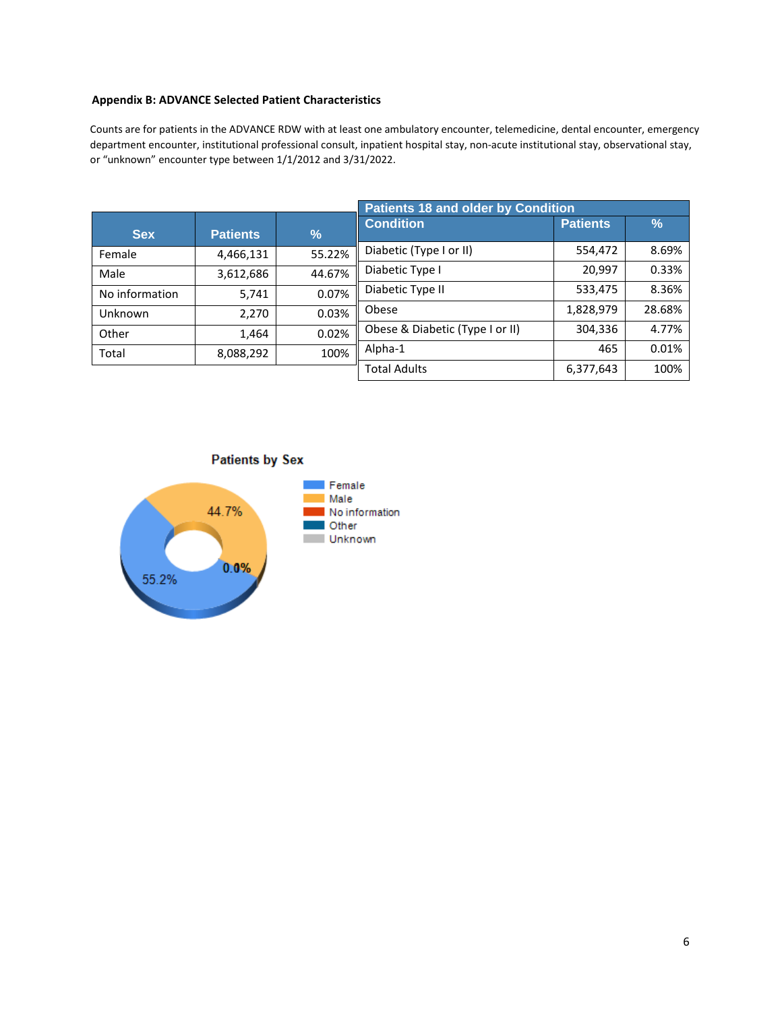## **Appendix B: ADVANCE Selected Patient Characteristics**

Counts are for patients in the ADVANCE RDW with at least one ambulatory encounter, telemedicine, dental encounter, emergency department encounter, institutional professional consult, inpatient hospital stay, non-acute institutional stay, observational stay, or "unknown" encounter type between 1/1/2012 and 3/31/2022.

|                |                 | <b>Patients 18 and older by Condition</b> |                                 |                 |        |
|----------------|-----------------|-------------------------------------------|---------------------------------|-----------------|--------|
| <b>Sex</b>     | <b>Patients</b> | $\frac{9}{6}$                             | <b>Condition</b>                | <b>Patients</b> | $\%$   |
| Female         | 4,466,131       | 55.22%                                    | Diabetic (Type I or II)         | 554,472         | 8.69%  |
| Male           | 3,612,686       | 44.67%                                    | Diabetic Type I                 | 20,997          | 0.33%  |
| No information | 5,741           | 0.07%                                     | Diabetic Type II                | 533,475         | 8.36%  |
| Unknown        | 2,270           | 0.03%                                     | Obese                           | 1,828,979       | 28.68% |
| Other          | 1,464           | 0.02%                                     | Obese & Diabetic (Type I or II) | 304,336         | 4.77%  |
| Total          | 8,088,292       | 100%                                      | Alpha-1                         | 465             | 0.01%  |
|                |                 |                                           | <b>Total Adults</b>             | 6,377,643       | 100%   |

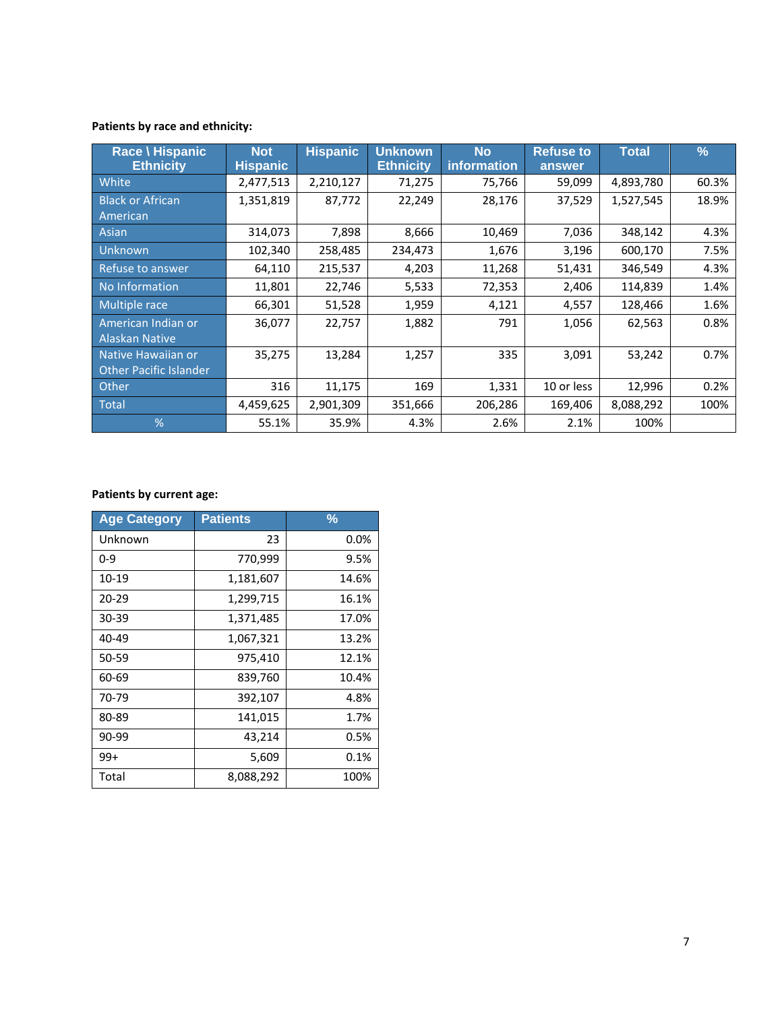# **Patients by race and ethnicity:**

| Race \ Hispanic<br><b>Ethnicity</b> | <b>Not</b><br><b>Hispanic</b> | <b>Hispanic</b> | <b>Unknown</b><br><b>Ethnicity</b> | <b>No</b><br>information | <b>Refuse to</b><br>answer | <b>Total</b> | $\frac{9}{6}$ |
|-------------------------------------|-------------------------------|-----------------|------------------------------------|--------------------------|----------------------------|--------------|---------------|
| White                               | 2,477,513                     | 2,210,127       | 71,275                             | 75,766                   | 59,099                     | 4,893,780    | 60.3%         |
| <b>Black or African</b>             | 1,351,819                     | 87,772          | 22,249                             | 28,176                   | 37,529                     | 1,527,545    | 18.9%         |
| American                            |                               |                 |                                    |                          |                            |              |               |
| Asian                               | 314,073                       | 7,898           | 8,666                              | 10,469                   | 7,036                      | 348,142      | 4.3%          |
| Unknown                             | 102,340                       | 258,485         | 234,473                            | 1,676                    | 3,196                      | 600,170      | 7.5%          |
| Refuse to answer                    | 64,110                        | 215,537         | 4,203                              | 11,268                   | 51,431                     | 346,549      | 4.3%          |
| No Information                      | 11,801                        | 22,746          | 5,533                              | 72,353                   | 2,406                      | 114,839      | 1.4%          |
| Multiple race                       | 66,301                        | 51,528          | 1,959                              | 4,121                    | 4,557                      | 128,466      | 1.6%          |
| American Indian or                  | 36,077                        | 22,757          | 1,882                              | 791                      | 1,056                      | 62,563       | 0.8%          |
| <b>Alaskan Native</b>               |                               |                 |                                    |                          |                            |              |               |
| Native Hawaiian or                  | 35,275                        | 13,284          | 1,257                              | 335                      | 3,091                      | 53,242       | 0.7%          |
| <b>Other Pacific Islander</b>       |                               |                 |                                    |                          |                            |              |               |
| Other                               | 316                           | 11,175          | 169                                | 1,331                    | 10 or less                 | 12,996       | 0.2%          |
| Total                               | 4,459,625                     | 2,901,309       | 351,666                            | 206,286                  | 169,406                    | 8,088,292    | 100%          |
| %                                   | 55.1%                         | 35.9%           | 4.3%                               | 2.6%                     | 2.1%                       | 100%         |               |

## **Patients by current age:**

| <b>Age Category</b> | <b>Patients</b> | $\frac{9}{6}$ |
|---------------------|-----------------|---------------|
| Unknown             | 23              | $0.0\%$       |
| $0 - 9$             | 770,999         | 9.5%          |
| 10-19               | 1,181,607       | 14.6%         |
| $20 - 29$           | 1,299,715       | 16.1%         |
| 30-39               | 1,371,485       | 17.0%         |
| 40-49               | 1,067,321       | 13.2%         |
| 50-59               | 975,410         | 12.1%         |
| 60-69               | 839,760         | 10.4%         |
| 70-79               | 392,107         | 4.8%          |
| 80-89               | 141,015         | 1.7%          |
| 90-99               | 43,214          | 0.5%          |
| $99+$               | 5,609           | 0.1%          |
| Total               | 8,088,292       | 100%          |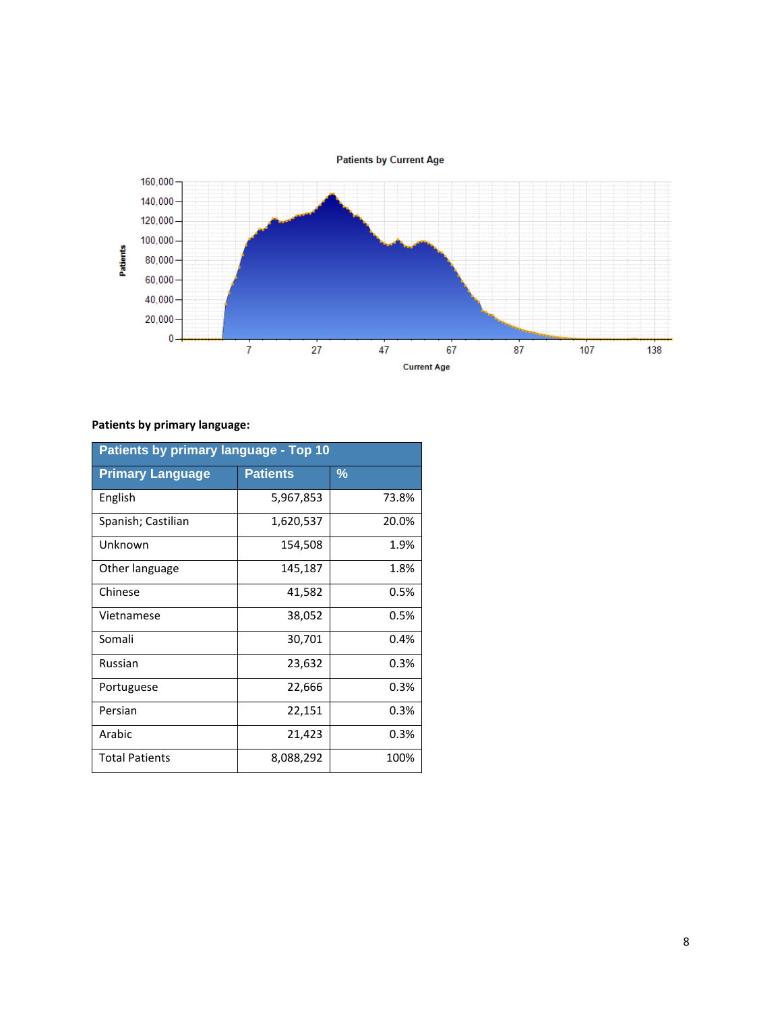

# **Patients by primary language:**

| Patients by primary language - Top 10 |                 |               |  |  |
|---------------------------------------|-----------------|---------------|--|--|
| <b>Primary Language</b>               | <b>Patients</b> | $\frac{9}{6}$ |  |  |
| English                               | 5,967,853       | 73.8%         |  |  |
| Spanish; Castilian                    | 1,620,537       | 20.0%         |  |  |
| Unknown                               | 154,508         | 1.9%          |  |  |
| Other language                        | 145,187         | 1.8%          |  |  |
| Chinese                               | 41,582          | 0.5%          |  |  |
| Vietnamese                            | 38,052          | 0.5%          |  |  |
| Somali                                | 30,701          | $0.4\%$       |  |  |
| Russian                               | 23,632          | 0.3%          |  |  |
| Portuguese                            | 22,666          | 0.3%          |  |  |
| Persian                               | 22,151          | 0.3%          |  |  |
| Arabic                                | 21,423          | 0.3%          |  |  |
| <b>Total Patients</b>                 | 8,088,292       | 100%          |  |  |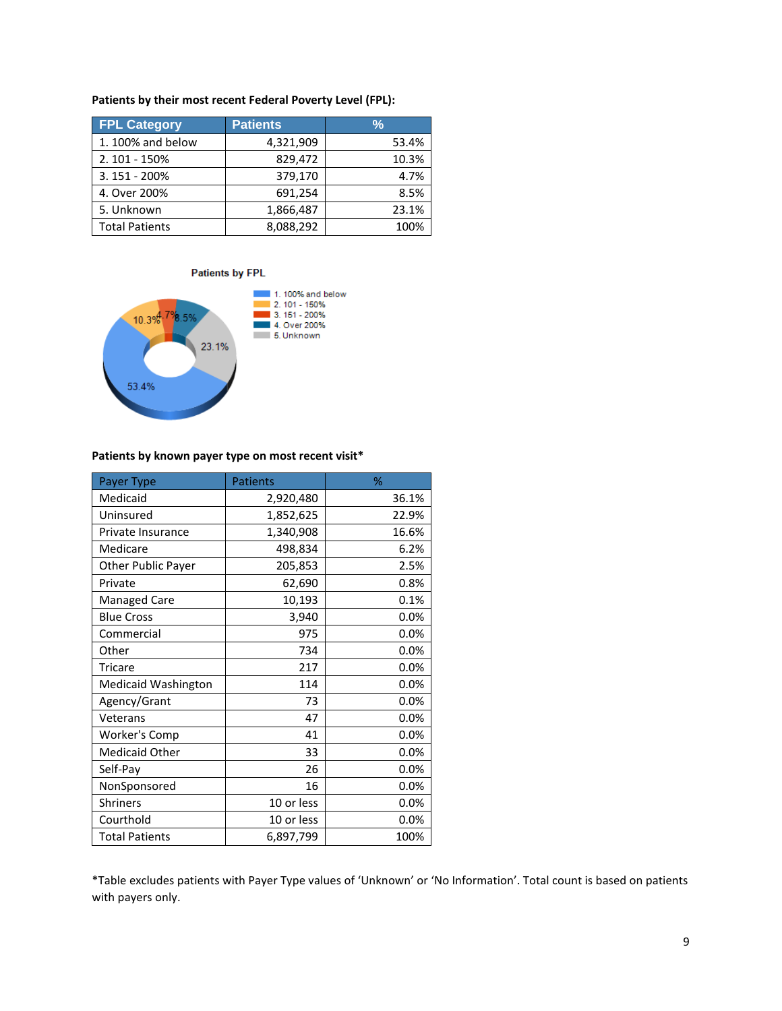| Patients by their most recent Federal Poverty Level (FPL): |  |  |  |
|------------------------------------------------------------|--|--|--|
|------------------------------------------------------------|--|--|--|

| <b>FPL Category</b>   | <b>Patients</b> | %     |
|-----------------------|-----------------|-------|
| 1. 100% and below     | 4,321,909       | 53.4% |
| 2.101 - 150%          | 829,472         | 10.3% |
| 3. 151 - 200%         | 379,170         | 4.7%  |
| 4. Over 200%          | 691,254         | 8.5%  |
| 5. Unknown            | 1,866,487       | 23.1% |
| <b>Total Patients</b> | 8,088,292       | 100%  |



## **Patients by known payer type on most recent visit\***

| Payer Type                 | <b>Patients</b> | %       |
|----------------------------|-----------------|---------|
| Medicaid                   | 2,920,480       | 36.1%   |
| Uninsured                  | 1,852,625       | 22.9%   |
| Private Insurance          | 1,340,908       | 16.6%   |
| Medicare                   | 498,834         | 6.2%    |
| <b>Other Public Payer</b>  | 205,853         | 2.5%    |
| Private                    | 62,690          | 0.8%    |
| <b>Managed Care</b>        | 10,193          | 0.1%    |
| <b>Blue Cross</b>          | 3,940           | 0.0%    |
| Commercial                 | 975             | 0.0%    |
| Other                      | 734             | 0.0%    |
| <b>Tricare</b>             | 217             | $0.0\%$ |
| <b>Medicaid Washington</b> | 114             | 0.0%    |
| Agency/Grant               | 73              | 0.0%    |
| Veterans                   | 47              | 0.0%    |
| Worker's Comp              | 41              | 0.0%    |
| <b>Medicaid Other</b>      | 33              | $0.0\%$ |
| Self-Pay                   | 26              | 0.0%    |
| NonSponsored               | 16              | $0.0\%$ |
| <b>Shriners</b>            | 10 or less      | 0.0%    |
| Courthold                  | 10 or less      | 0.0%    |
| <b>Total Patients</b>      | 6,897,799       | 100%    |

\*Table excludes patients with Payer Type values of 'Unknown' or 'No Information'. Total count is based on patients with payers only.